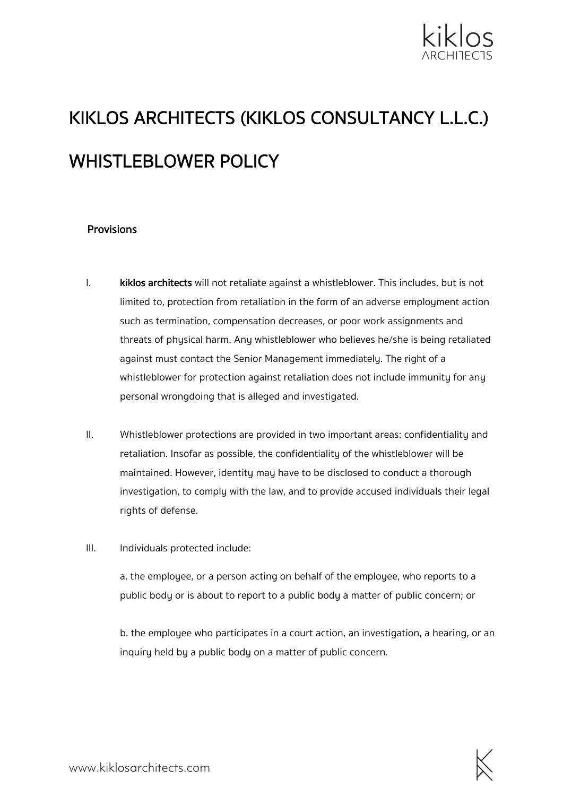

# KIKLOS ARCHITECTS (KIKLOS CONSULTANCY L.L.C.) WHISTLEBLOWER POLICY

#### **Provisions**

- I. kiklos architects will not retaliate against a whistleblower. This includes, but is not limited to, protection from retaliation in the form of an adverse employment action such as termination, compensation decreases, or poor work assignments and threats of physical harm. Any whistleblower who believes he/she is being retaliated against must contact the Senior Management immediately. The right of a whistleblower for protection against retaliation does not include immunity for any personal wrongdoing that is alleged and investigated.
- II. Whistleblower protections are provided in two important areas: confidentiality and retaliation. Insofar as possible, the confidentiality of the whistleblower will be maintained. However, identity may have to be disclosed to conduct a thorough investigation, to comply with the law, and to provide accused individuals their legal rights of defense.
- III. Individuals protected include:

a. the employee, or a person acting on behalf of the employee, who reports to a public body or is about to report to a public body a matter of public concern; or

b. the employee who participates in a court action, an investigation, a hearing, or an inquiry held by a public body on a matter of public concern.

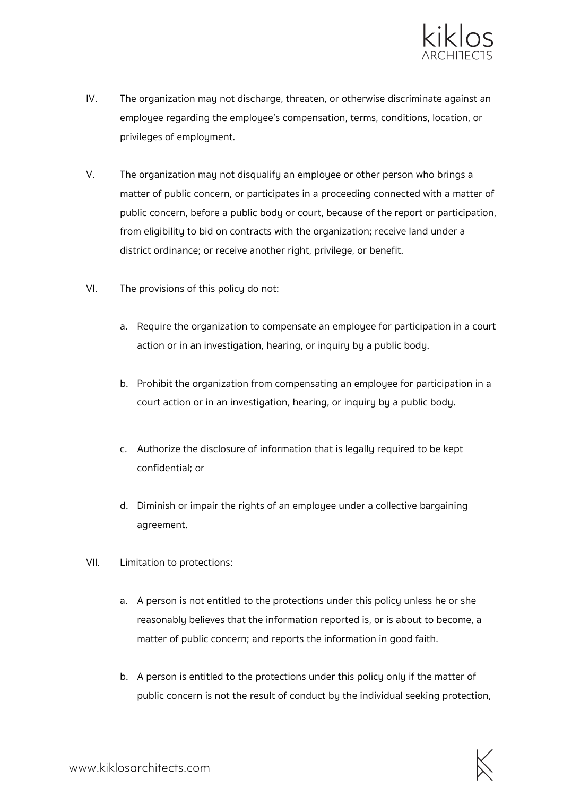

- IV. The organization may not discharge, threaten, or otherwise discriminate against an employee regarding the employee's compensation, terms, conditions, location, or privileges of employment.
- V. The organization may not disqualify an employee or other person who brings a matter of public concern, or participates in a proceeding connected with a matter of public concern, before a public body or court, because of the report or participation, from eligibility to bid on contracts with the organization; receive land under a district ordinance; or receive another right, privilege, or benefit.
- VI. The provisions of this policy do not:
	- a. Require the organization to compensate an employee for participation in a court action or in an investigation, hearing, or inquiry by a public body.
	- b. Prohibit the organization from compensating an employee for participation in a court action or in an investigation, hearing, or inquiry by a public body.
	- c. Authorize the disclosure of information that is legally required to be kept confidential; or
	- d. Diminish or impair the rights of an employee under a collective bargaining agreement.
- VII. Limitation to protections:
	- a. A person is not entitled to the protections under this policy unless he or she reasonably believes that the information reported is, or is about to become, a matter of public concern; and reports the information in good faith.
	- b. A person is entitled to the protections under this policy only if the matter of public concern is not the result of conduct by the individual seeking protection,

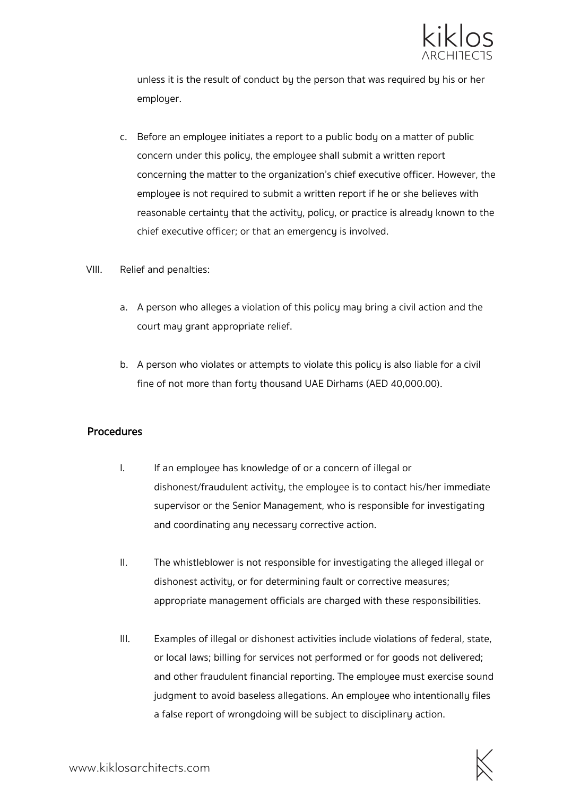

unless it is the result of conduct by the person that was required by his or her employer.

- c. Before an employee initiates a report to a public body on a matter of public concern under this policy, the employee shall submit a written report concerning the matter to the organization's chief executive officer. However, the employee is not required to submit a written report if he or she believes with reasonable certainty that the activity, policy, or practice is already known to the chief executive officer; or that an emergency is involved.
- VIII. Relief and penalties:
	- a. A person who alleges a violation of this policy may bring a civil action and the court may grant appropriate relief.
	- b. A person who violates or attempts to violate this policy is also liable for a civil fine of not more than forty thousand UAE Dirhams (AED 40,000.00).

#### Procedures

- I. If an employee has knowledge of or a concern of illegal or dishonest/fraudulent activity, the employee is to contact his/her immediate supervisor or the Senior Management, who is responsible for investigating and coordinating any necessary corrective action.
- II. The whistleblower is not responsible for investigating the alleged illegal or dishonest activity, or for determining fault or corrective measures; appropriate management officials are charged with these responsibilities.
- III. Examples of illegal or dishonest activities include violations of federal, state, or local laws; billing for services not performed or for goods not delivered; and other fraudulent financial reporting. The employee must exercise sound judgment to avoid baseless allegations. An employee who intentionally files a false report of wrongdoing will be subject to disciplinary action.